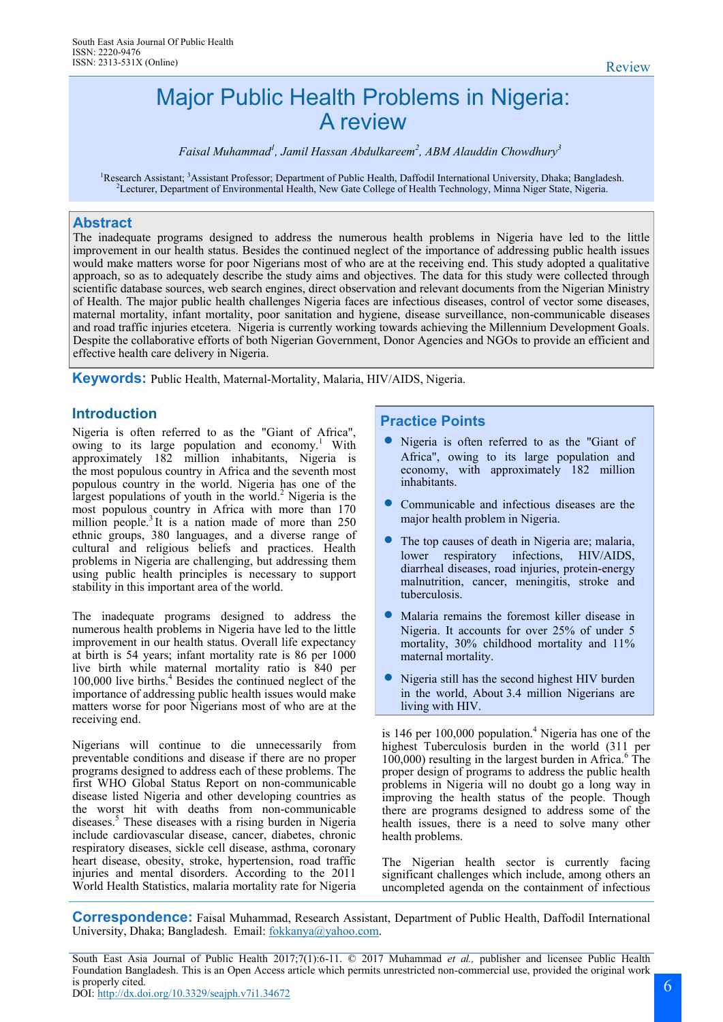# Major Public Health Problems in Nigeria: A review

*Faisal Muhammad<sup>1</sup> , Jamil Hassan Abdulkareem<sup>2</sup> , ABM Alauddin Chowdhury<sup>3</sup>*

<sup>1</sup>Research Assistant; <sup>3</sup>Assistant Professor; Department of Public Health, Daffodil International University, Dhaka; Bangladesh. <sup>2</sup>Lecturer, Department of Environmental Health, New Gate College of Health Technology, Minna Niger State, Nigeria.

# **Abstract**

The inadequate programs designed to address the numerous health problems in Nigeria have led to the little improvement in our health status. Besides the continued neglect of the importance of addressing public health issues would make matters worse for poor Nigerians most of who are at the receiving end. This study adopted a qualitative approach, so as to adequately describe the study aims and objectives. The data for this study were collected through scientific database sources, web search engines, direct observation and relevant documents from the Nigerian Ministry of Health. The major public health challenges Nigeria faces are infectious diseases, control of vector some diseases, maternal mortality, infant mortality, poor sanitation and hygiene, disease surveillance, non-communicable diseases and road traffic injuries etcetera. Nigeria is currently working towards achieving the Millennium Development Goals. Despite the collaborative efforts of both Nigerian Government, Donor Agencies and NGOs to provide an efficient and effective health care delivery in Nigeria.

**Keywords:** Public Health, Maternal-Mortality, Malaria, HIV/AIDS, Nigeria.

Nigeria is often referred to as the "Giant of Africa", owing to its large population and economy.<sup>1</sup> With approximately 182 million inhabitants, Nigeria is the [most populous country](https://en.wikipedia.org/wiki/List_of_African_countries_by_population) in Africa and the seventh most [populous country in the world.](https://en.wikipedia.org/wiki/List_of_countries_by_population) Nigeria has one of the largest [populations of youth](https://en.wikipedia.org/wiki/Youth_in_Nigeria) in the world.<sup>2</sup> Nigeria is the most populous country in Africa with more than 170 million people.<sup>3</sup> It is a nation made of more than 250 ethnic groups, 380 languages, and a diverse range of cultural and religious beliefs and practices. Health problems in Nigeria are challenging, but addressing them using public health principles is necessary to support stability in this important area of the world.

The inadequate programs designed to address the numerous health problems in Nigeria have led to the little improvement in our health status. Overall life expectancy at birth is 54 years; infant mortality rate is 86 per 1000 live birth while maternal mortality ratio is 840 per 100,000 live births.<sup>4</sup> Besides the continued neglect of the importance of addressing public health issues would make matters worse for poor Nigerians most of who are at the receiving end.

Nigerians will continue to die unnecessarily from preventable conditions and disease if there are no proper programs designed to address each of these problems. The first WHO Global Status Report on non-communicable disease listed Nigeria and other developing countries as the worst hit with deaths from non-communicable diseases.<sup>5</sup> These diseases with a rising burden in Nigeria include cardiovascular disease, cancer, diabetes, chronic respiratory diseases, sickle cell disease, asthma, coronary heart disease, obesity, stroke, hypertension, road traffic injuries and mental disorders. According to the 2011 World Health Statistics, malaria mortality rate for Nigeria

# **Introduction Practice Points**

- Nigeria is often referred to as the "Giant of Africa", owing to its large population and economy, with approximately 182 million inhabitants.
- Communicable and infectious diseases are the major health problem in Nigeria.
- The top causes of death in Nigeria are; malaria, lower respiratory infections, HIV/AIDS, diarrheal diseases, road injuries, protein-energy malnutrition, cancer, meningitis, stroke and tuberculosis.
- Malaria remains the foremost killer disease in Nigeria. It accounts for over 25% of under 5 mortality, 30% childhood mortality and 11% maternal mortality.
- Nigeria still has the second highest HIV burden in the world, About 3.4 million Nigerians are living with HIV.

is 146 per  $100,000$  population.<sup>4</sup> Nigeria has one of the highest Tuberculosis burden in the world (311 per  $100,000$ ) resulting in the largest burden in Africa. $6$  The proper design of programs to address the public health problems in Nigeria will no doubt go a long way in improving the health status of the people. Though there are programs designed to address some of the health issues, there is a need to solve many other health problems.

The Nigerian health sector is currently facing significant challenges which include, among others an uncompleted agenda on the containment of infectious

**Correspondence:** Faisal Muhammad, Research Assistant, Department of Public Health, Daffodil International University, Dhaka; Bangladesh. Email: [fokkanya@yahoo.com.](mailto:fokkanya@yahoo.com)

South East Asia Journal of Public Health 2017;7(1):6-11. © 2017 Muhammad *et al.,* publisher and licensee Public Health Foundation Bangladesh. This is an Open Access article which permits unrestricted non-commercial use, provided the original work is properly cited.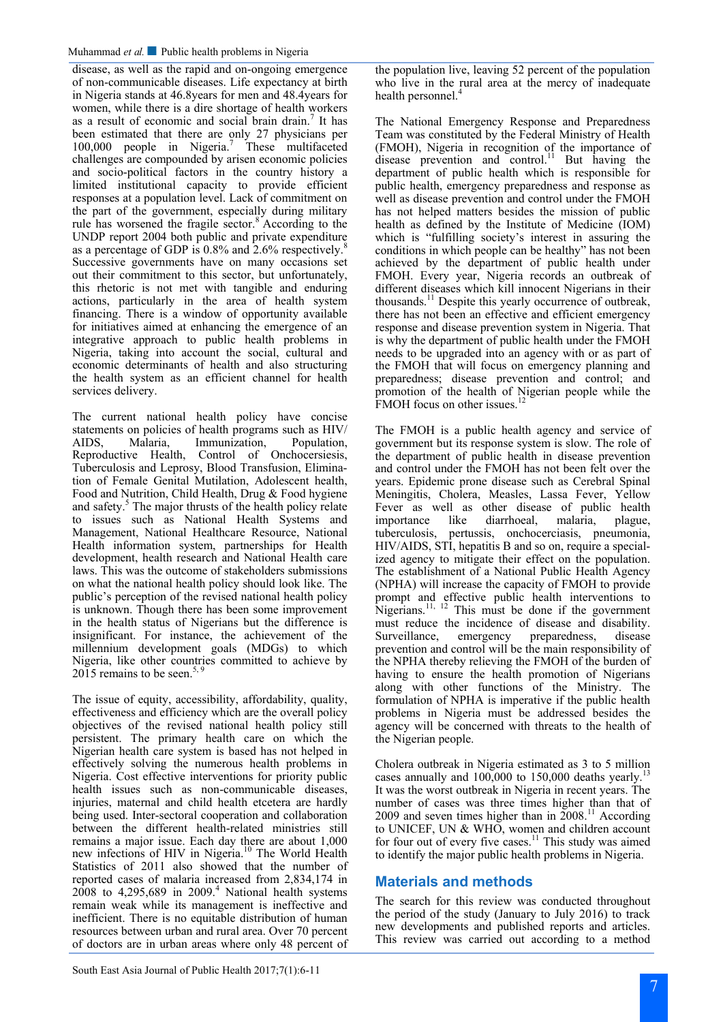disease, as well as the rapid and on-ongoing emergence of non-communicable diseases. Life expectancy at birth in Nigeria stands at 46.8years for men and 48.4years for women, while there is a dire shortage of health workers as a result of economic and social brain drain.<sup>7</sup> It has been estimated that there are only 27 physicians per 100,000 people in Nigeria.<sup>7</sup> These multifaceted challenges are compounded by arisen economic policies and socio-political factors in the country history a limited institutional capacity to provide efficient responses at a population level. Lack of commitment on the part of the government, especially during military rule has worsened the fragile sector.<sup>8</sup> According to the UNDP report 2004 both public and private expenditure as a percentage of GDP is  $0.8\%$  and  $2.6\%$  respectively.<sup>8</sup> Successive governments have on many occasions set out their commitment to this sector, but unfortunately, this rhetoric is not met with tangible and enduring actions, particularly in the area of health system financing. There is a window of opportunity available for initiatives aimed at enhancing the emergence of an integrative approach to public health problems in Nigeria, taking into account the social, cultural and economic determinants of health and also structuring the health system as an efficient channel for health services delivery.

The current national health policy have concise statements on policies of health programs such as HIV/ AIDS, Malaria, Immunization, Population, Reproductive Health, Control of Onchocersiesis, Tuberculosis and Leprosy, Blood Transfusion, Elimination of Female Genital Mutilation, Adolescent health, Food and Nutrition, Child Health, Drug & Food hygiene and safety.<sup>5</sup> The major thrusts of the health policy relate to issues such as National Health Systems and Management, National Healthcare Resource, National Health information system, partnerships for Health development, health research and National Health care laws. This was the outcome of stakeholders submissions on what the national health policy should look like. The public's perception of the revised national health policy is unknown. Though there has been some improvement in the health status of Nigerians but the difference is insignificant. For instance, the achievement of the millennium development goals (MDGs) to which Nigeria, like other countries committed to achieve by  $2015$  remains to be seen.<sup>5, 9</sup>

The issue of equity, accessibility, affordability, quality, effectiveness and efficiency which are the overall policy objectives of the revised national health policy still persistent. The primary health care on which the Nigerian health care system is based has not helped in effectively solving the numerous health problems in Nigeria. Cost effective interventions for priority public health issues such as non-communicable diseases, injuries, maternal and child health etcetera are hardly being used. Inter-sectoral cooperation and collaboration between the different health-related ministries still remains a major issue. Each day there are about 1,000 new infections of HIV in Nigeria.<sup>10</sup> The World Health Statistics of 2011 also showed that the number of reported cases of malaria increased from 2,834,174 in  $2008$  to 4,295,689 in 2009.<sup>4</sup> National health systems remain weak while its management is ineffective and inefficient. There is no equitable distribution of human resources between urban and rural area. Over 70 percent of doctors are in urban areas where only 48 percent of

the population live, leaving 52 percent of the population who live in the rural area at the mercy of inadequate health personnel.<sup>4</sup>

The National Emergency Response and Preparedness Team was constituted by the Federal Ministry of Health (FMOH), Nigeria in recognition of the importance of disease prevention and control.<sup>11</sup> But having the department of public health which is responsible for public health, emergency preparedness and response as well as disease prevention and control under the FMOH has not helped matters besides the mission of public health as defined by the Institute of Medicine (IOM) which is "fulfilling society's interest in assuring the conditions in which people can be healthy" has not been achieved by the department of public health under FMOH. Every year, Nigeria records an outbreak of different diseases which kill innocent Nigerians in their thousands.<sup>11</sup> Despite this yearly occurrence of outbreak, there has not been an effective and efficient emergency response and disease prevention system in Nigeria. That is why the department of public health under the FMOH needs to be upgraded into an agency with or as part of the FMOH that will focus on emergency planning and preparedness; disease prevention and control; and promotion of the health of Nigerian people while the FMOH focus on other issues.<sup>12</sup>

The FMOH is a public health agency and service of government but its response system is slow. The role of the department of public health in disease prevention and control under the FMOH has not been felt over the years. Epidemic prone disease such as Cerebral Spinal Meningitis, Cholera, Measles, Lassa Fever, Yellow Fever as well as other disease of public health importance like diarrhoeal, malaria, plague, tuberculosis, pertussis, onchocerciasis, pneumonia, HIV/AIDS, STI, hepatitis B and so on, require a specialized agency to mitigate their effect on the population. The establishment of a National Public Health Agency (NPHA) will increase the capacity of FMOH to provide prompt and effective public health interventions to Nigerians.<sup>11, 12</sup> This must be done if the government must reduce the incidence of disease and disability. Surveillance, emergency preparedness, disease prevention and control will be the main responsibility of the NPHA thereby relieving the FMOH of the burden of having to ensure the health promotion of Nigerians along with other functions of the Ministry. The formulation of NPHA is imperative if the public health problems in Nigeria must be addressed besides the agency will be concerned with threats to the health of the Nigerian people.

Cholera outbreak in Nigeria estimated as 3 to 5 million cases annually and  $100,000$  to  $150,000$  deaths yearly.<sup>1</sup> It was the worst outbreak in Nigeria in recent years. The number of cases was three times higher than that of 2009 and seven times higher than in  $\tilde{2008}$ .<sup>11</sup> According to UNICEF, UN & WHO, women and children account for four out of every five cases.<sup>11</sup> This study was aimed to identify the major public health problems in Nigeria.

# **Materials and methods**

The search for this review was conducted throughout the period of the study (January to July 2016) to track new developments and published reports and articles. This review was carried out according to a method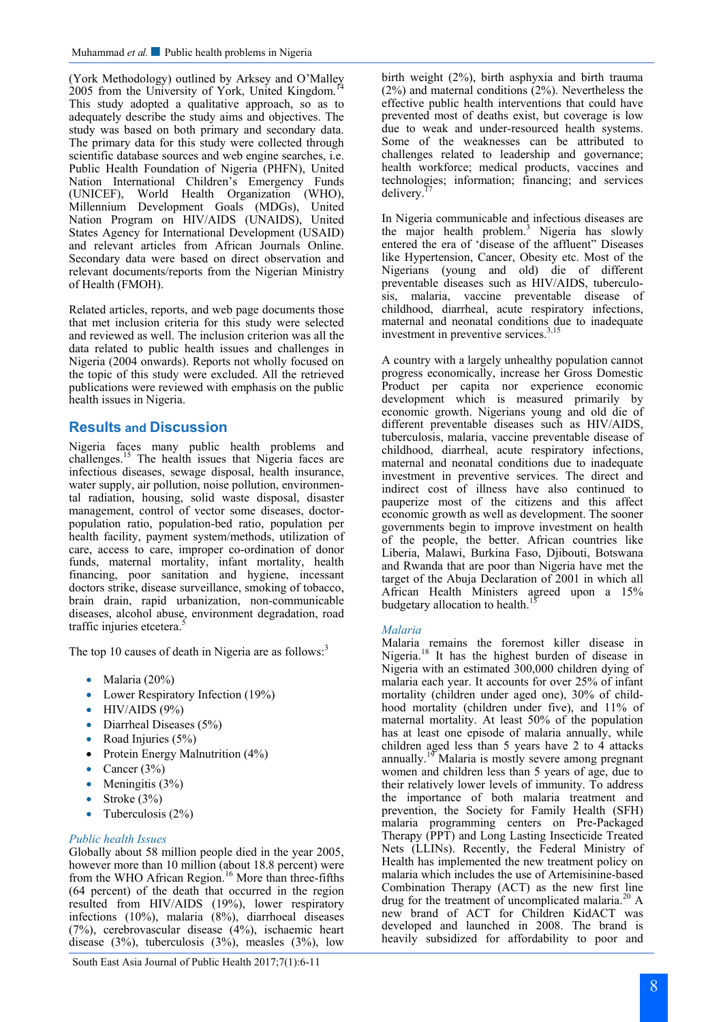(York Methodology) outlined by Arksey and O'Malley 2005 from the University of York, United Kingdom. This study adopted a qualitative approach, so as to adequately describe the study aims and objectives. The study was based on both primary and secondary data. The primary data for this study were collected through scientific database sources and web engine searches, i.e. Public Health Foundation of Nigeria (PHFN), United Nation International Children's Emergency Funds (UNICEF), World Health Organization (WHO), Millennium Development Goals (MDGs), United Nation Program on HIV/AIDS (UNAIDS), United States Agency for International Development (USAID) and relevant articles from African Journals Online. Secondary data were based on direct observation and relevant documents/reports from the Nigerian Ministry of Health (FMOH).

Related articles, reports, and web page documents those that met inclusion criteria for this study were selected and reviewed as well. The inclusion criterion was all the data related to public health issues and challenges in Nigeria (2004 onwards). Reports not wholly focused on the topic of this study were excluded. All the retrieved publications were reviewed with emphasis on the public health issues in Nigeria.

# **Results and Discussion**

Nigeria faces many public health problems and challenges.<sup>15</sup> The health issues that Nigeria faces are infectious diseases, sewage disposal, health insurance, water supply, air pollution, noise pollution, environmental radiation, housing, solid waste disposal, disaster management, control of vector some diseases, doctorpopulation ratio, population-bed ratio, population per health facility, payment system/methods, utilization of care, access to care, improper co-ordination of donor funds, maternal mortality, infant mortality, health financing, poor sanitation and hygiene, incessant doctors strike, disease surveillance, smoking of tobacco, brain drain, rapid urbanization, non-communicable diseases, alcohol abuse, environment degradation, road traffic injuries etcetera.<sup>5</sup>

The top 10 causes of death in Nigeria are as follows: $3$ 

- Malaria  $(20\%)$
- Lower Respiratory Infection (19%)
- $\bullet$  HIV/AIDS (9%)
- Diarrheal Diseases (5%)
- Road Injuries  $(5%)$
- Protein Energy Malnutrition (4%)
- Cancer  $(3\%)$
- Meningitis  $(3\%)$
- Stroke  $(3%)$
- Tuberculosis  $(2%)$

#### *Public health Issues*

Globally about 58 million people died in the year 2005, however more than 10 million (about 18.8 percent) were from the WHO African Region.<sup>16</sup> More than three-fifths (64 percent) of the death that occurred in the region resulted from HIV/AIDS (19%), lower respiratory infections (10%), malaria (8%), diarrhoeal diseases (7%), cerebrovascular disease (4%), ischaemic heart disease (3%), tuberculosis (3%), measles (3%), low

birth weight (2%), birth asphyxia and birth trauma (2%) and maternal conditions (2%). Nevertheless the effective public health interventions that could have prevented most of deaths exist, but coverage is low due to weak and under-resourced health systems. Some of the weaknesses can be attributed to challenges related to leadership and governance; health workforce; medical products, vaccines and technologies; information; financing; and services delivery.

In Nigeria communicable and infectious diseases are the major health problem.<sup>3</sup> Nigeria has slowly entered the era of 'disease of the affluent" Diseases like Hypertension, Cancer, Obesity etc. Most of the Nigerians (young and old) die of different preventable diseases such as HIV/AIDS, tuberculosis, malaria, vaccine preventable disease of childhood, diarrheal, acute respiratory infections, maternal and neonatal conditions due to inadequate investment in preventive services.<sup>3,15</sup>

A country with a largely unhealthy population cannot progress economically, increase her Gross Domestic Product per capita nor experience economic development which is measured primarily by economic growth. Nigerians young and old die of different preventable diseases such as HIV/AIDS, tuberculosis, malaria, vaccine preventable disease of childhood, diarrheal, acute respiratory infections, maternal and neonatal conditions due to inadequate investment in preventive services. The direct and indirect cost of illness have also continued to pauperize most of the citizens and this affect economic growth as well as development. The sooner governments begin to improve investment on health of the people, the better. African countries like Liberia, Malawi, Burkina Faso, Djibouti, Botswana and Rwanda that are poor than Nigeria have met the target of the Abuja Declaration of 2001 in which all African Health Ministers agreed upon a 15% budgetary allocation to health.<sup>15</sup>

#### *Malaria*

Malaria remains the foremost killer disease in Nigeria.<sup>18</sup> It has the highest burden of disease in Nigeria with an estimated 300,000 children dying of malaria each year. It accounts for over 25% of infant mortality (children under aged one), 30% of childhood mortality (children under five), and 11% of maternal mortality. At least 50% of the population has at least one episode of malaria annually, while children aged less than 5 years have 2 to 4 attacks annually.<sup>19</sup> Malaria is mostly severe among pregnant women and children less than 5 years of age, due to their relatively lower levels of immunity. To address the importance of both malaria treatment and prevention, the Society for Family Health (SFH) malaria programming centers on Pre-Packaged Therapy (PPT) and Long Lasting Insecticide Treated Nets (LLINs). Recently, the Federal Ministry of Health has implemented the new treatment policy on malaria which includes the use of Artemisinine-based Combination Therapy (ACT) as the new first line drug for the treatment of uncomplicated malaria.<sup>20</sup> A new brand of ACT for Children KidACT was developed and launched in 2008. The brand is heavily subsidized for affordability to poor and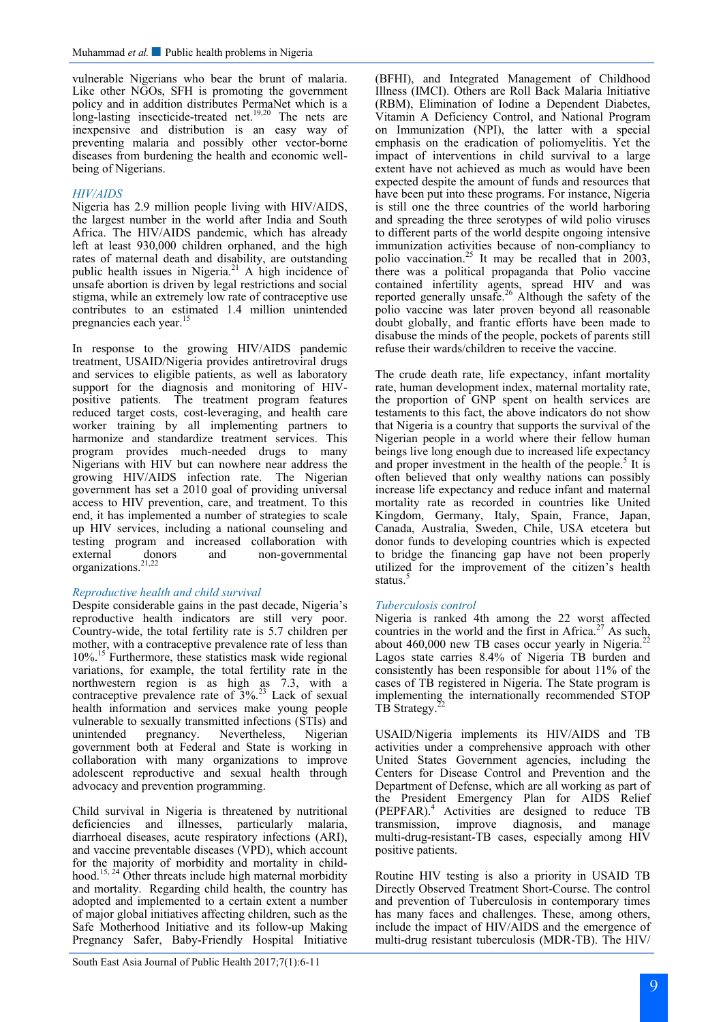vulnerable Nigerians who bear the brunt of malaria. Like other NGOs, SFH is promoting the government policy and in addition distributes PermaNet which is a long-lasting insecticide-treated net.<sup>19,20</sup> The nets are inexpensive and distribution is an easy way of preventing malaria and possibly other vector-borne diseases from burdening the health and economic wellbeing of Nigerians.

#### *HIV/AIDS*

Nigeria has 2.9 million people living with HIV/AIDS, the largest number in the world after India and South Africa. The HIV/AIDS pandemic, which has already left at least 930,000 children orphaned, and the high rates of maternal death and disability, are outstanding public health issues in Nigeria.<sup>21</sup> A high incidence of unsafe abortion is driven by legal restrictions and social stigma, while an extremely low rate of contraceptive use contributes to an estimated 1.4 million unintended pregnancies each year.<sup>1</sup>

In response to the growing HIV/AIDS pandemic treatment, USAID/Nigeria provides antiretroviral drugs and services to eligible patients, as well as laboratory support for the diagnosis and monitoring of HIVpositive patients. The treatment program features reduced target costs, cost-leveraging, and health care worker training by all implementing partners to harmonize and standardize treatment services. This program provides much-needed drugs to many Nigerians with HIV but can nowhere near address the growing HIV/AIDS infection rate. The Nigerian government has set a 2010 goal of providing universal access to HIV prevention, care, and treatment. To this end, it has implemented a number of strategies to scale up HIV services, including a national counseling and testing program and increased collaboration with external donors and non-governmental organizations.<sup>21,22</sup>

#### *Reproductive health and child survival*

Despite considerable gains in the past decade, Nigeria's reproductive health indicators are still very poor. Country-wide, the total fertility rate is 5.7 children per mother, with a contraceptive prevalence rate of less than 10%.<sup>15</sup> Furthermore, these statistics mask wide regional variations, for example, the total fertility rate in the northwestern region is as high as 7.3, with a contraceptive prevalence rate of  $3\%$ .<sup>23</sup> Lack of sexual health information and services make young people vulnerable to sexually transmitted infections (STIs) and unintended pregnancy. Nevertheless, Nigerian government both at Federal and State is working in collaboration with many organizations to improve adolescent reproductive and sexual health through advocacy and prevention programming.

Child survival in Nigeria is threatened by nutritional deficiencies and illnesses, particularly malaria, diarrhoeal diseases, acute respiratory infections (ARI), and vaccine preventable diseases (VPD), which account for the majority of morbidity and mortality in childhood.15, 24 Other threats include high maternal morbidity and mortality. Regarding child health, the country has adopted and implemented to a certain extent a number of major global initiatives affecting children, such as the Safe Motherhood Initiative and its follow-up Making Pregnancy Safer, Baby-Friendly Hospital Initiative

(BFHI), and Integrated Management of Childhood Illness (IMCI). Others are Roll Back Malaria Initiative (RBM), Elimination of Iodine a Dependent Diabetes, Vitamin A Deficiency Control, and National Program on Immunization (NPI), the latter with a special emphasis on the eradication of poliomyelitis. Yet the impact of interventions in child survival to a large extent have not achieved as much as would have been expected despite the amount of funds and resources that have been put into these programs. For instance, Nigeria is still one the three countries of the world harboring and spreading the three serotypes of wild polio viruses to different parts of the world despite ongoing intensive immunization activities because of non-compliancy to polio vaccination.<sup>25</sup> It may be recalled that in 2003, there was a political propaganda that Polio vaccine contained infertility agents, spread HIV and was reported generally unsafe.<sup>26</sup> Although the safety of the polio vaccine was later proven beyond all reasonable doubt globally, and frantic efforts have been made to disabuse the minds of the people, pockets of parents still refuse their wards/children to receive the vaccine.

The crude death rate, life expectancy, infant mortality rate, human development index, maternal mortality rate, the proportion of GNP spent on health services are testaments to this fact, the above indicators do not show that Nigeria is a country that supports the survival of the Nigerian people in a world where their fellow human beings live long enough due to increased life expectancy and proper investment in the health of the people.<sup>5</sup> It is often believed that only wealthy nations can possibly increase life expectancy and reduce infant and maternal mortality rate as recorded in countries like United Kingdom, Germany, Italy, Spain, France, Japan, Canada, Australia, Sweden, Chile, USA etcetera but donor funds to developing countries which is expected to bridge the financing gap have not been properly utilized for the improvement of the citizen's health status.<sup>5</sup>

#### *Tuberculosis control*

Nigeria is ranked 4th among the 22 worst affected Nigeria is ranked 4th among the 22 webs the countries in the world and the first in Africa.<sup>27</sup> As such, about  $460,000$  new TB cases occur yearly in Nigeria.<sup>2</sup> Lagos state carries 8.4% of Nigeria TB burden and consistently has been responsible for about 11% of the cases of TB registered in Nigeria. The State program is implementing the internationally recommended STOP TB Strategy.<sup>2</sup>

USAID/Nigeria implements its HIV/AIDS and TB activities under a comprehensive approach with other United States Government agencies, including the Centers for Disease Control and Prevention and the Department of Defense, which are all working as part of the President Emergency Plan for AIDS Relief (PEPFAR).<sup>4</sup> Activities are designed to reduce TB transmission, improve diagnosis, and manage multi-drug-resistant-TB cases, especially among HIV positive patients.

Routine HIV testing is also a priority in USAID TB Directly Observed Treatment Short-Course. The control and prevention of Tuberculosis in contemporary times has many faces and challenges. These, among others, include the impact of HIV/AIDS and the emergence of multi-drug resistant tuberculosis (MDR-TB). The HIV/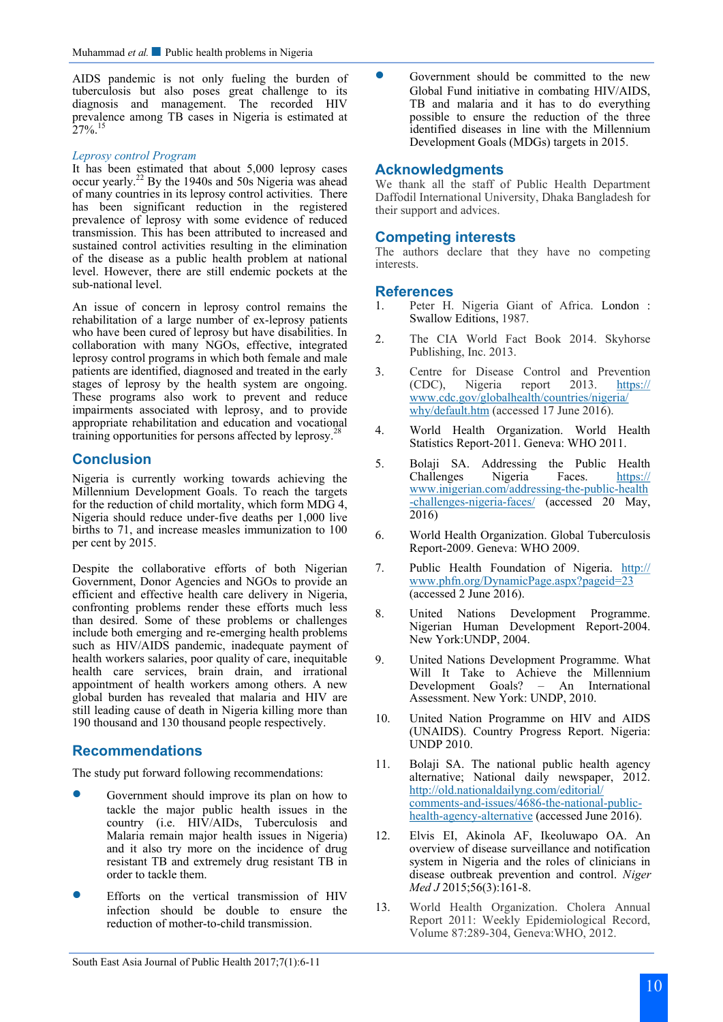AIDS pandemic is not only fueling the burden of tuberculosis but also poses great challenge to its diagnosis and management. The recorded HIV diagnosis and management. The recorded HIV prevalence among TB cases in Nigeria is estimated at  $27\%$ <sup>15</sup>

#### *Leprosy control Program*

It has been estimated that about 5,000 leprosy cases occur yearly.<sup>22</sup> By the 1940s and 50s Nigeria was ahead of many countries in its leprosy control activities. There has been significant reduction in the registered prevalence of leprosy with some evidence of reduced transmission. This has been attributed to increased and sustained control activities resulting in the elimination of the disease as a public health problem at national level. However, there are still endemic pockets at the sub-national level.

An issue of concern in leprosy control remains the rehabilitation of a large number of ex-leprosy patients who have been cured of leprosy but have disabilities. In collaboration with many NGOs, effective, integrated leprosy control programs in which both female and male patients are identified, diagnosed and treated in the early stages of leprosy by the health system are ongoing. These programs also work to prevent and reduce impairments associated with leprosy, and to provide appropriate rehabilitation and education and vocational training opportunities for persons affected by leprosy.<sup>2</sup>

# **Conclusion**

Nigeria is currently working towards achieving the Millennium Development Goals. To reach the targets for the reduction of child mortality, which form MDG 4, Nigeria should reduce under-five deaths per 1,000 live births to 71, and increase measles immunization to 100 per cent by 2015.

Despite the collaborative efforts of both Nigerian Government, Donor Agencies and NGOs to provide an efficient and effective health care delivery in Nigeria, confronting problems render these efforts much less than desired. Some of these problems or challenges include both emerging and re-emerging health problems such as HIV/AIDS pandemic, inadequate payment of health workers salaries, poor quality of care, inequitable health care services, brain drain, and irrational appointment of health workers among others. A new global burden has revealed that malaria and HIV are still leading cause of death in Nigeria killing more than 190 thousand and 130 thousand people respectively.

# **Recommendations**

The study put forward following recommendations:

- Government should improve its plan on how to tackle the major public health issues in the country (i.e. HIV/AIDs, Tuberculosis and Malaria remain major health issues in Nigeria) and it also try more on the incidence of drug resistant TB and extremely drug resistant TB in order to tackle them.
- Efforts on the vertical transmission of HIV infection should be double to ensure the reduction of mother-to-child transmission.

 Government should be committed to the new Global Fund initiative in combating HIV/AIDS, TB and malaria and it has to do everything possible to ensure the reduction of the three identified diseases in line with the Millennium Development Goals (MDGs) targets in 2015.

## **Acknowledgments**

We thank all the staff of Public Health Department Daffodil International University, Dhaka Bangladesh for their support and advices.

# **Competing interests**

The authors declare that they have no competing interests.

### **References**

- 1. Peter H. Nigeria Giant of Africa. London : Swallow Editions, 1987.
- 2. The CIA World Fact Book 2014. Skyhorse Publishing, Inc. 2013.
- 3. Centre for Disease Control and Prevention (CDC), Nigeria report 2013. [https://](https://www.cdc.gov/globalhealth/countries/nigeria/why/default.htm) [www.cdc.gov/globalhealth/countries/nigeria/](https://www.cdc.gov/globalhealth/countries/nigeria/why/default.htm) [why/default.htm](https://www.cdc.gov/globalhealth/countries/nigeria/why/default.htm) (accessed 17 June 2016).
- 4. World Health Organization. World Health Statistics Report-2011. Geneva: WHO 2011.
- 5. Bolaji SA. Addressing the Public Health Challenges Nigeria Faces. [https://](https://www.inigerian.com/addressing-the-public-health-challenges-nigeria-faces/) [www.inigerian.com/addressing](https://www.inigerian.com/addressing-the-public-health-challenges-nigeria-faces/)-the-public-health -[challenges](https://www.inigerian.com/addressing-the-public-health-challenges-nigeria-faces/)-nigeria-faces/ (accessed 20 May, 2016)
- 6. World Health Organization. Global Tuberculosis Report-2009. Geneva: WHO 2009.
- 7. Public Health Foundation of Nigeria. [http://](http://www.phfn.org/DynamicPage.aspx?pageid=23) [www.phfn.org/DynamicPage.aspx?pageid=23](http://www.phfn.org/DynamicPage.aspx?pageid=23) (accessed 2 June 2016).
- 8. United Nations Development Programme. Nigerian Human Development Report-2004. New York:UNDP, 2004.
- 9. United Nations Development Programme. What Will It Take to Achieve the Millennium Development Goals? – An International Assessment. New York: UNDP, 2010.
- 10. United Nation Programme on HIV and AIDS (UNAIDS). Country Progress Report. Nigeria: UNDP 2010.
- 11. Bolaji SA. The national public health agency alternative; National daily newspaper, 2012. [http://old.nationaldailyng.com/editorial/](http://old.nationaldailyng.com/editorial/comments-and-issues/4686-the-national-public-health-agency-alternative) comments-and-[issues/4686](http://old.nationaldailyng.com/editorial/comments-and-issues/4686-the-national-public-health-agency-alternative)-the-national-publichealth-agency-[alternative](http://old.nationaldailyng.com/editorial/comments-and-issues/4686-the-national-public-health-agency-alternative) (accessed June 2016).
- 12. Elvis EI, Akinola AF, Ikeoluwapo OA. An overview of disease surveillance and notification system in Nigeria and the roles of clinicians in disease outbreak prevention and control. *Niger Med J* 2015;56(3):161-8.
- 13. World Health Organization. Cholera Annual Report 2011: Weekly Epidemiological Record, Volume 87:289-304, Geneva:WHO, 2012.